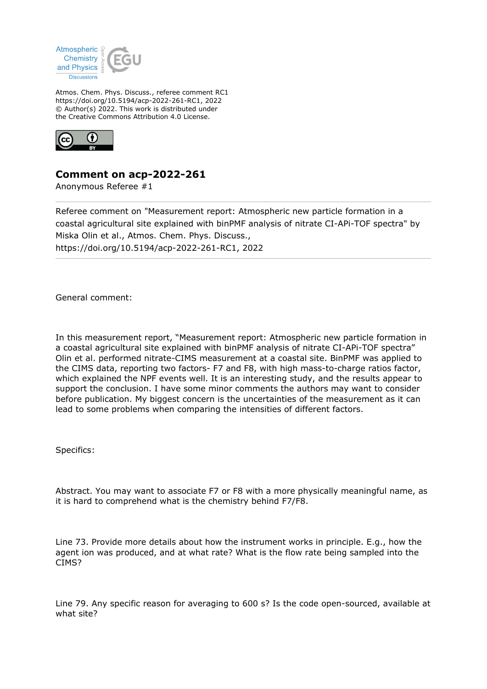

Atmos. Chem. Phys. Discuss., referee comment RC1 https://doi.org/10.5194/acp-2022-261-RC1, 2022 © Author(s) 2022. This work is distributed under the Creative Commons Attribution 4.0 License.



**Comment on acp-2022-261**

Anonymous Referee #1

Referee comment on "Measurement report: Atmospheric new particle formation in a coastal agricultural site explained with binPMF analysis of nitrate CI-APi-TOF spectra" by Miska Olin et al., Atmos. Chem. Phys. Discuss., https://doi.org/10.5194/acp-2022-261-RC1, 2022

General comment:

In this measurement report, "Measurement report: Atmospheric new particle formation in a coastal agricultural site explained with binPMF analysis of nitrate CI-APi-TOF spectra" Olin et al. performed nitrate-CIMS measurement at a coastal site. BinPMF was applied to the CIMS data, reporting two factors- F7 and F8, with high mass-to-charge ratios factor, which explained the NPF events well. It is an interesting study, and the results appear to support the conclusion. I have some minor comments the authors may want to consider before publication. My biggest concern is the uncertainties of the measurement as it can lead to some problems when comparing the intensities of different factors.

Specifics:

Abstract. You may want to associate F7 or F8 with a more physically meaningful name, as it is hard to comprehend what is the chemistry behind F7/F8.

Line 73. Provide more details about how the instrument works in principle. E.g., how the agent ion was produced, and at what rate? What is the flow rate being sampled into the CIMS?

Line 79. Any specific reason for averaging to 600 s? Is the code open-sourced, available at what site?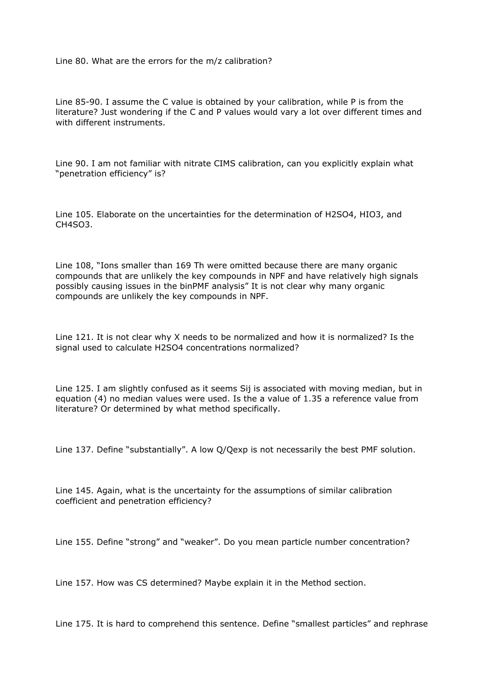Line 80. What are the errors for the m/z calibration?

Line 85-90. I assume the C value is obtained by your calibration, while P is from the literature? Just wondering if the C and P values would vary a lot over different times and with different instruments.

Line 90. I am not familiar with nitrate CIMS calibration, can you explicitly explain what "penetration efficiency" is?

Line 105. Elaborate on the uncertainties for the determination of H2SO4, HIO3, and CH4SO3.

Line 108, "Ions smaller than 169 Th were omitted because there are many organic compounds that are unlikely the key compounds in NPF and have relatively high signals possibly causing issues in the binPMF analysis" It is not clear why many organic compounds are unlikely the key compounds in NPF.

Line 121. It is not clear why X needs to be normalized and how it is normalized? Is the signal used to calculate H2SO4 concentrations normalized?

Line 125. I am slightly confused as it seems Sij is associated with moving median, but in equation (4) no median values were used. Is the a value of 1.35 a reference value from literature? Or determined by what method specifically.

Line 137. Define "substantially". A low Q/Qexp is not necessarily the best PMF solution.

Line 145. Again, what is the uncertainty for the assumptions of similar calibration coefficient and penetration efficiency?

Line 155. Define "strong" and "weaker". Do you mean particle number concentration?

Line 157. How was CS determined? Maybe explain it in the Method section.

Line 175. It is hard to comprehend this sentence. Define "smallest particles" and rephrase